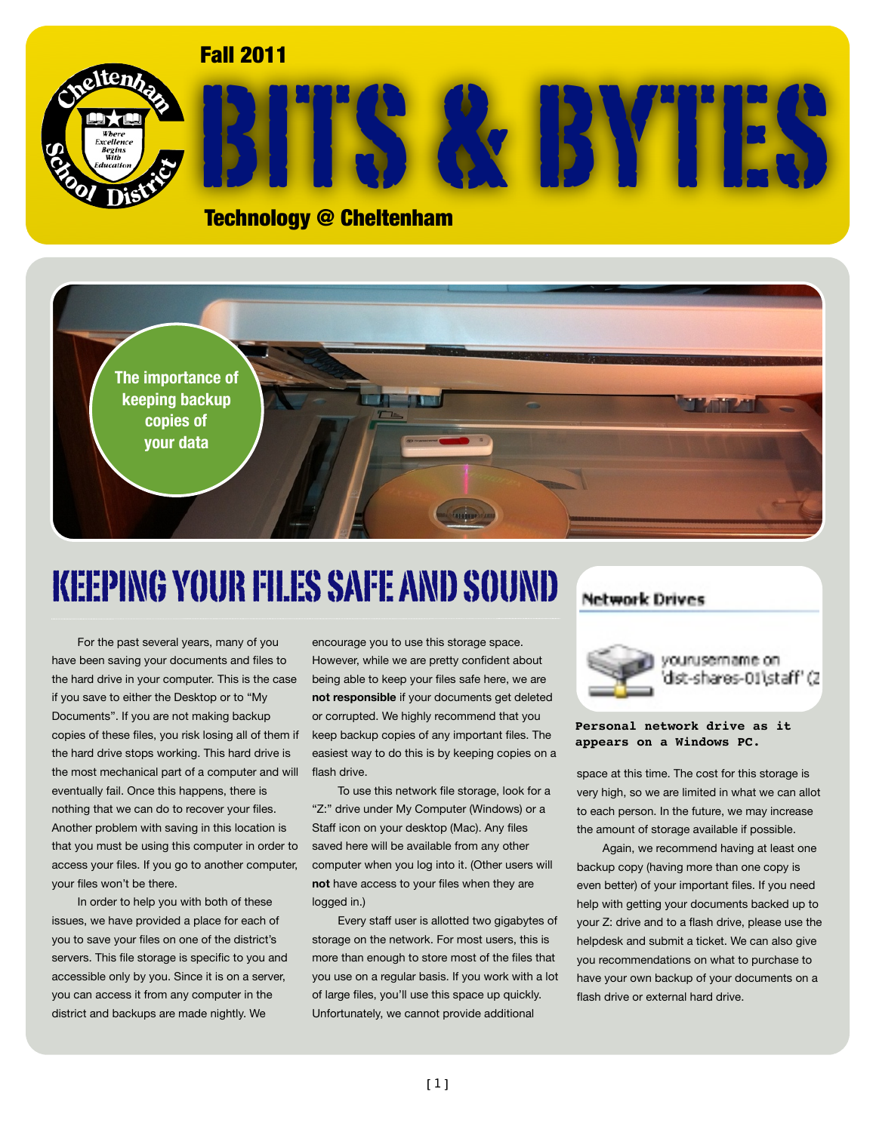### Fall 2011



# BITS & BYTES

Technology @ Cheltenham



## KEEPING YOUR FILES SAFE AND SOUND

For the past several years, many of you have been saving your documents and files to the hard drive in your computer. This is the case if you save to either the Desktop or to "My Documents". If you are not making backup copies of these files, you risk losing all of them if the hard drive stops working. This hard drive is the most mechanical part of a computer and will eventually fail. Once this happens, there is nothing that we can do to recover your files. Another problem with saving in this location is that you must be using this computer in order to access your files. If you go to another computer, your files won't be there.

In order to help you with both of these issues, we have provided a place for each of you to save your files on one of the district's servers. This file storage is specific to you and accessible only by you. Since it is on a server, you can access it from any computer in the district and backups are made nightly. We

encourage you to use this storage space. However, while we are pretty confident about being able to keep your files safe here, we are **not responsible** if your documents get deleted or corrupted. We highly recommend that you keep backup copies of any important files. The easiest way to do this is by keeping copies on a flash drive.

To use this network file storage, look for a "Z:" drive under My Computer (Windows) or a Staff icon on your desktop (Mac). Any files saved here will be available from any other computer when you log into it. (Other users will **not** have access to your files when they are logged in.)

Every staff user is allotted two gigabytes of storage on the network. For most users, this is more than enough to store most of the files that you use on a regular basis. If you work with a lot of large files, you'll use this space up quickly. Unfortunately, we cannot provide additional

### **Network Drives**



### **Personal network drive as it appears on a Windows PC.**

space at this time. The cost for this storage is very high, so we are limited in what we can allot to each person. In the future, we may increase the amount of storage available if possible.

Again, we recommend having at least one backup copy (having more than one copy is even better) of your important files. If you need help with getting your documents backed up to your Z: drive and to a flash drive, please use the helpdesk and submit a ticket. We can also give you recommendations on what to purchase to have your own backup of your documents on a flash drive or external hard drive.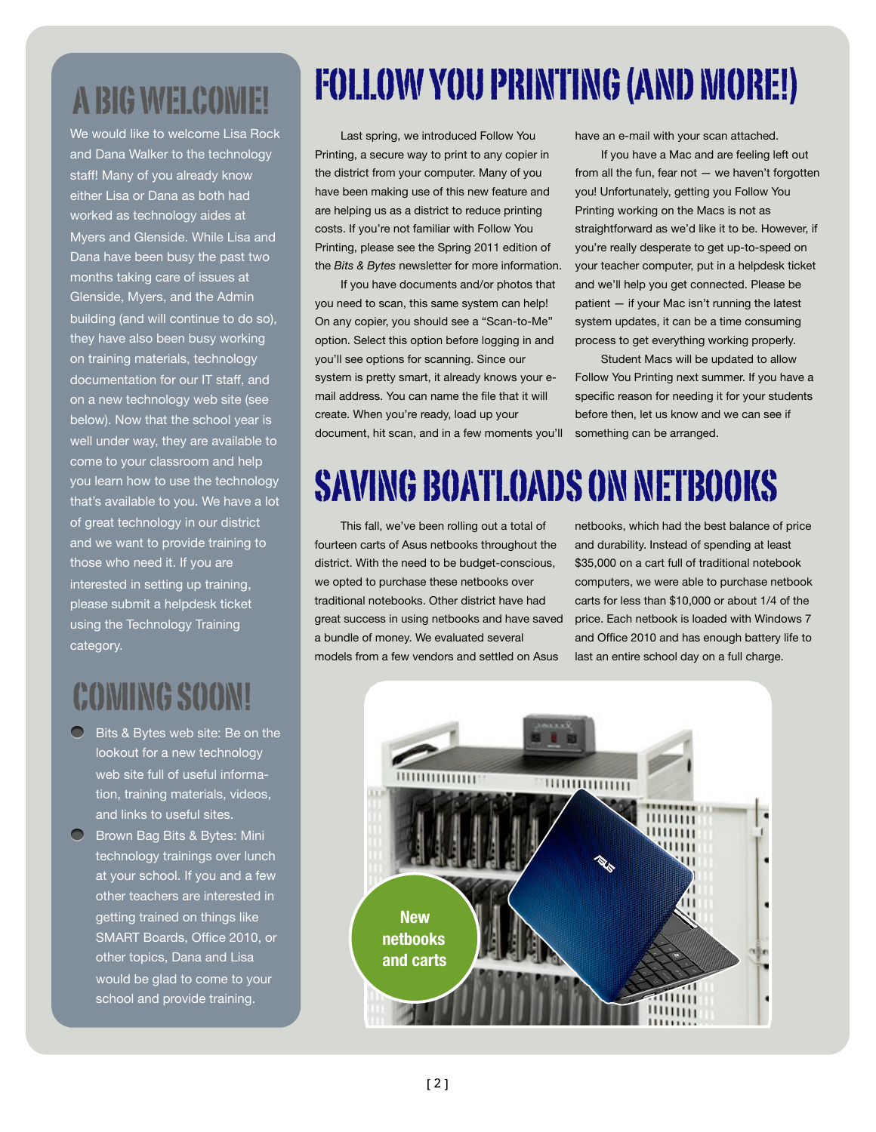## A BIG WELCOME!

We would like to welcome Lisa Rock and Dana Walker to the technology staff! Many of you already know either Lisa or Dana as both had worked as technology aides at Myers and Glenside. While Lisa and Dana have been busy the past two months taking care of issues at Glenside, Myers, and the Admin building (and will continue to do so), they have also been busy working on training materials, technology documentation for our IT staff, and on a new technology web site (see below). Now that the school year is well under way, they are available to come to your classroom and help you learn how to use the technology that's available to you. We have a lot of great technology in our district and we want to provide training to those who need it. If you are interested in setting up training, please submit a helpdesk ticket using the Technology Training category.

## COMING SOON!

- Bits & Bytes web site: Be on the lookout for a new technology web site full of useful information, training materials, videos, and links to useful sites.
- **C** Brown Bag Bits & Bytes: Mini technology trainings over lunch at your school. If you and a few other teachers are interested in getting trained on things like SMART Boards, Office 2010, or other topics, Dana and Lisa would be glad to come to your school and provide training.

## FOLLOW YOU PRINTING (AND MORE!)

Last spring, we introduced Follow You Printing, a secure way to print to any copier in the district from your computer. Many of you have been making use of this new feature and are helping us as a district to reduce printing costs. If you're not familiar with Follow You Printing, please see the Spring 2011 edition of the *Bits & Bytes* newsletter for more information.

If you have documents and/or photos that you need to scan, this same system can help! On any copier, you should see a "Scan-to-Me" option. Select this option before logging in and you'll see options for scanning. Since our system is pretty smart, it already knows your email address. You can name the file that it will create. When you're ready, load up your document, hit scan, and in a few moments you'll have an e-mail with your scan attached.

If you have a Mac and are feeling left out from all the fun, fear not — we haven't forgotten you! Unfortunately, getting you Follow You Printing working on the Macs is not as straightforward as we'd like it to be. However, if you're really desperate to get up-to-speed on your teacher computer, put in a helpdesk ticket and we'll help you get connected. Please be patient — if your Mac isn't running the latest system updates, it can be a time consuming process to get everything working properly.

Student Macs will be updated to allow Follow You Printing next summer. If you have a specific reason for needing it for your students before then, let us know and we can see if something can be arranged.

## SAVING BOATLOADS ON NETBOOKS

This fall, we've been rolling out a total of fourteen carts of Asus netbooks throughout the district. With the need to be budget-conscious, we opted to purchase these netbooks over traditional notebooks. Other district have had great success in using netbooks and have saved a bundle of money. We evaluated several models from a few vendors and settled on Asus

netbooks, which had the best balance of price and durability. Instead of spending at least \$35,000 on a cart full of traditional notebook computers, we were able to purchase netbook carts for less than \$10,000 or about 1/4 of the price. Each netbook is loaded with Windows 7 and Office 2010 and has enough battery life to last an entire school day on a full charge.

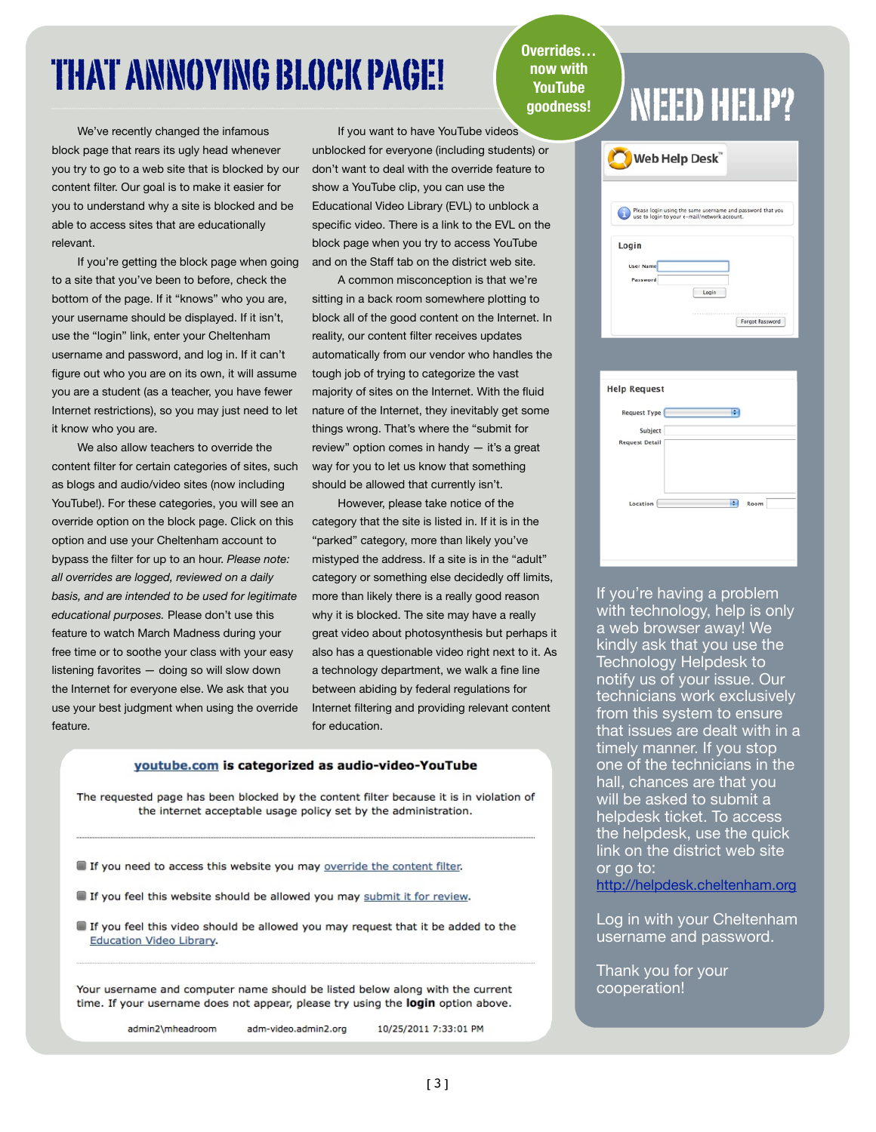## THAT ANNOYING BLOCK PAGE! (FOLK TO A DOW WITH A NEED HELP?

We've recently changed the infamous block page that rears its ugly head whenever you try to go to a web site that is blocked by our content filter. Our goal is to make it easier for you to understand why a site is blocked and be able to access sites that are educationally relevant.

If you're getting the block page when going to a site that you've been to before, check the bottom of the page. If it "knows" who you are, your username should be displayed. If it isn't, use the "login" link, enter your Cheltenham username and password, and log in. If it can't figure out who you are on its own, it will assume you are a student (as a teacher, you have fewer Internet restrictions), so you may just need to let it know who you are.

We also allow teachers to override the content filter for certain categories of sites, such as blogs and audio/video sites (now including YouTube!). For these categories, you will see an override option on the block page. Click on this option and use your Cheltenham account to bypass the filter for up to an hour. *Please note: all overrides are logged, reviewed on a daily basis, and are intended to be used for legitimate educational purposes.* Please don't use this feature to watch March Madness during your free time or to soothe your class with your easy listening favorites — doing so will slow down the Internet for everyone else. We ask that you use your best judgment when using the override feature.

If you want to have YouTube videos unblocked for everyone (including students) or don't want to deal with the override feature to show a YouTube clip, you can use the Educational Video Library (EVL) to unblock a specific video. There is a link to the EVL on the block page when you try to access YouTube and on the Staff tab on the district web site.

A common misconception is that we're sitting in a back room somewhere plotting to block all of the good content on the Internet. In reality, our content filter receives updates automatically from our vendor who handles the tough job of trying to categorize the vast majority of sites on the Internet. With the fluid nature of the Internet, they inevitably get some things wrong. That's where the "submit for review" option comes in handy — it's a great way for you to let us know that something should be allowed that currently isn't.

However, please take notice of the category that the site is listed in. If it is in the "parked" category, more than likely you've mistyped the address. If a site is in the "adult" category or something else decidedly off limits, more than likely there is a really good reason why it is blocked. The site may have a really great video about photosynthesis but perhaps it also has a questionable video right next to it. As a technology department, we walk a fine line between abiding by federal regulations for Internet filtering and providing relevant content for education.

### youtube.com is categorized as audio-video-YouTube

The requested page has been blocked by the content filter because it is in violation of the internet acceptable usage policy set by the administration.

- If you need to access this website you may override the content filter.
- If you feel this website should be allowed you may submit it for review.
- If you feel this video should be allowed you may request that it be added to the **Education Video Library.**

Your username and computer name should be listed below along with the current time. If your username does not appear, please try using the login option above.

admin2\mheadroom

10/25/2011 7:33:01 PM adm-video.admin2.org

**Overrides… now with YouTube goodness!**

| Web Help Desk"   |                                                            |
|------------------|------------------------------------------------------------|
|                  | Please login using the same username and password that you |
|                  | use to login to your e-mail/network account.               |
| Login            |                                                            |
| <b>User Name</b> |                                                            |
| Password         |                                                            |
|                  | Login                                                      |
|                  | ----------------------                                     |
|                  |                                                            |

| <b>Help Request</b>   |           |
|-----------------------|-----------|
|                       |           |
| <b>Request Type</b>   | ٥         |
| Subject               |           |
| <b>Request Detail</b> |           |
|                       |           |
|                       |           |
|                       |           |
|                       |           |
| Location              | ÷<br>Room |
|                       |           |
|                       |           |
|                       |           |
|                       |           |

If you're having a problem with technology, help is only a web browser away! We kindly ask that you use the Technology Helpdesk to notify us of your issue. Our technicians work exclusively from this system to ensure that issues are dealt with in a timely manner. If you stop one of the technicians in the hall, chances are that you will be asked to submit a helpdesk ticket. To access the helpdesk, use the quick link on the district web site or go to:

<http://helpdesk.cheltenham.org>

Log in with your Cheltenham username and password.

Thank you for your cooperation!